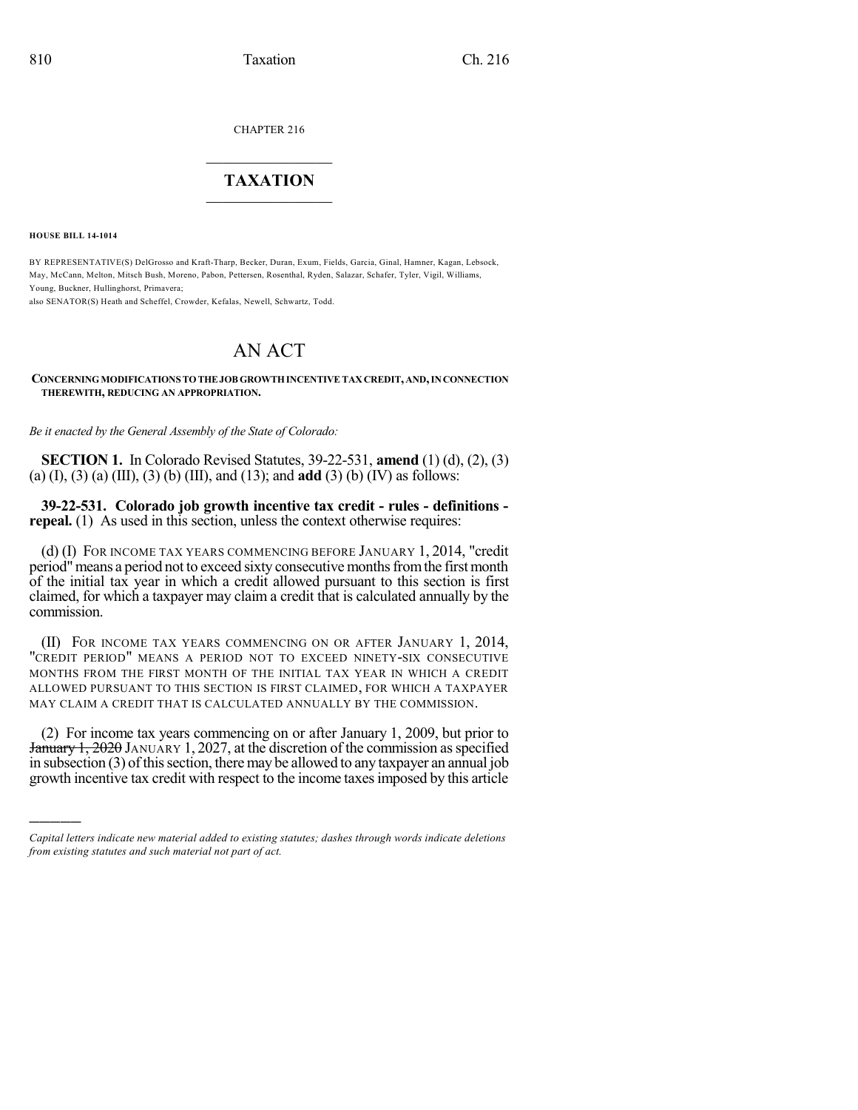CHAPTER 216

## $\overline{\phantom{a}}$  . The set of the set of the set of the set of the set of the set of the set of the set of the set of the set of the set of the set of the set of the set of the set of the set of the set of the set of the set o **TAXATION**  $\_$

**HOUSE BILL 14-1014**

)))))

BY REPRESENTATIVE(S) DelGrosso and Kraft-Tharp, Becker, Duran, Exum, Fields, Garcia, Ginal, Hamner, Kagan, Lebsock, May, McCann, Melton, Mitsch Bush, Moreno, Pabon, Pettersen, Rosenthal, Ryden, Salazar, Schafer, Tyler, Vigil, Williams, Young, Buckner, Hullinghorst, Primavera;

also SENATOR(S) Heath and Scheffel, Crowder, Kefalas, Newell, Schwartz, Todd.

## AN ACT

## **CONCERNINGMODIFICATIONS TOTHEJOB GROWTHINCENTIVETAX CREDIT, AND,INCONNECTION THEREWITH, REDUCING AN APPROPRIATION.**

*Be it enacted by the General Assembly of the State of Colorado:*

**SECTION 1.** In Colorado Revised Statutes, 39-22-531, **amend** (1) (d), (2), (3) (a) (I), (3) (a) (III), (3) (b) (III), and (13); and **add** (3) (b) (IV) as follows:

**39-22-531. Colorado job growth incentive tax credit - rules - definitions repeal.** (1) As used in this section, unless the context otherwise requires:

(d) (I) FOR INCOME TAX YEARS COMMENCING BEFORE JANUARY 1, 2014, "credit period" means a period not to exceed sixty consecutive months from the first month of the initial tax year in which a credit allowed pursuant to this section is first claimed, for which a taxpayer may claim a credit that is calculated annually by the commission.

(II) FOR INCOME TAX YEARS COMMENCING ON OR AFTER JANUARY 1, 2014, "CREDIT PERIOD" MEANS A PERIOD NOT TO EXCEED NINETY-SIX CONSECUTIVE MONTHS FROM THE FIRST MONTH OF THE INITIAL TAX YEAR IN WHICH A CREDIT ALLOWED PURSUANT TO THIS SECTION IS FIRST CLAIMED, FOR WHICH A TAXPAYER MAY CLAIM A CREDIT THAT IS CALCULATED ANNUALLY BY THE COMMISSION.

(2) For income tax years commencing on or after January 1, 2009, but prior to January 1, 2020 JANUARY 1, 2027, at the discretion of the commission asspecified in subsection  $(3)$  of this section, there may be allowed to any taxpayer an annual job growth incentive tax credit with respect to the income taxesimposed by this article

*Capital letters indicate new material added to existing statutes; dashes through words indicate deletions from existing statutes and such material not part of act.*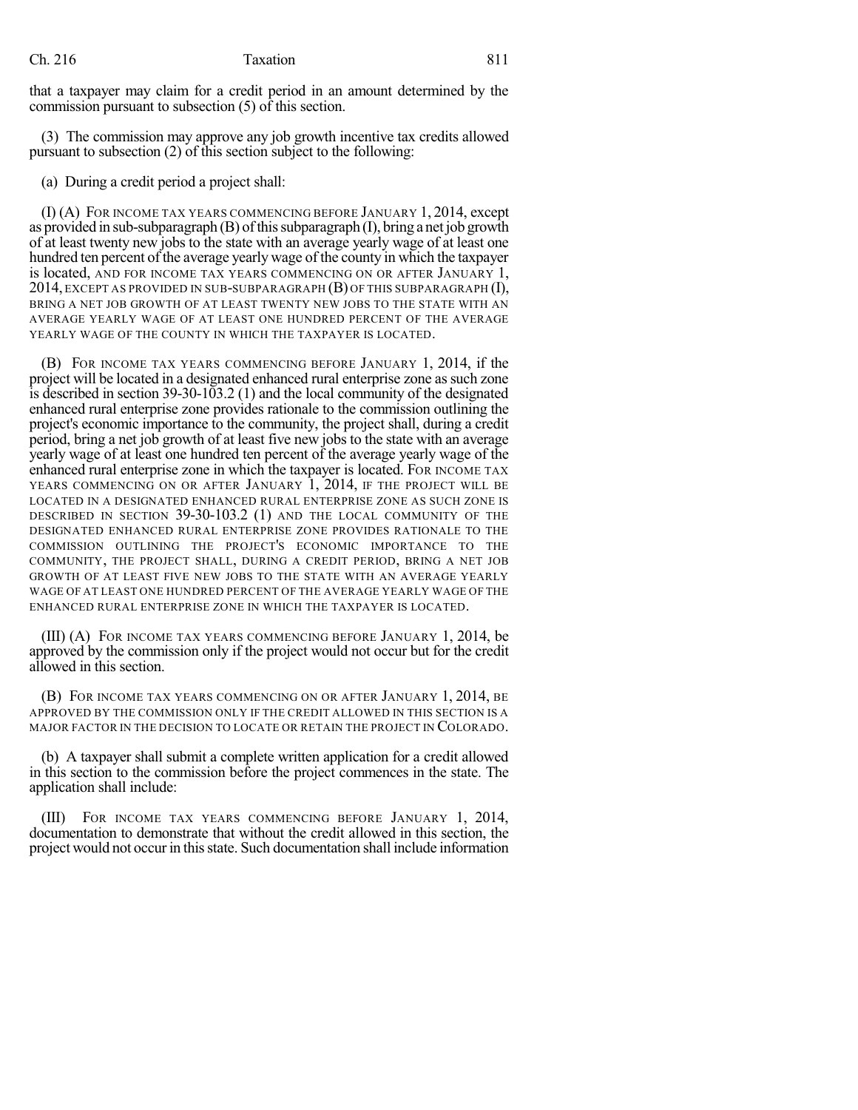that a taxpayer may claim for a credit period in an amount determined by the commission pursuant to subsection (5) of this section.

(3) The commission may approve any job growth incentive tax credits allowed pursuant to subsection (2) of this section subject to the following:

(a) During a credit period a project shall:

(I) (A) FOR INCOME TAX YEARS COMMENCING BEFORE JANUARY 1, 2014, except as provided in sub-subparagraph  $(B)$  of this subparagraph  $(I)$ , bring a net job growth of at least twenty new jobs to the state with an average yearly wage of at least one hundred ten percent of the average yearly wage of the county in which the taxpayer is located, AND FOR INCOME TAX YEARS COMMENCING ON OR AFTER JANUARY 1, 2014, EXCEPT AS PROVIDED IN SUB-SUBPARAGRAPH  $(B)$  of this subparagraph  $(I)$ , BRING A NET JOB GROWTH OF AT LEAST TWENTY NEW JOBS TO THE STATE WITH AN AVERAGE YEARLY WAGE OF AT LEAST ONE HUNDRED PERCENT OF THE AVERAGE YEARLY WAGE OF THE COUNTY IN WHICH THE TAXPAYER IS LOCATED.

(B) FOR INCOME TAX YEARS COMMENCING BEFORE JANUARY 1, 2014, if the project will be located in a designated enhanced rural enterprise zone assuch zone is described in section 39-30-103.2 (1) and the local community of the designated enhanced rural enterprise zone provides rationale to the commission outlining the project's economic importance to the community, the project shall, during a credit period, bring a net job growth of at least five new jobs to the state with an average yearly wage of at least one hundred ten percent of the average yearly wage of the enhanced rural enterprise zone in which the taxpayer is located. FOR INCOME TAX YEARS COMMENCING ON OR AFTER JANUARY 1, 2014, IF THE PROJECT WILL BE LOCATED IN A DESIGNATED ENHANCED RURAL ENTERPRISE ZONE AS SUCH ZONE IS DESCRIBED IN SECTION 39-30-103.2 (1) AND THE LOCAL COMMUNITY OF THE DESIGNATED ENHANCED RURAL ENTERPRISE ZONE PROVIDES RATIONALE TO THE COMMISSION OUTLINING THE PROJECT'S ECONOMIC IMPORTANCE TO THE COMMUNITY, THE PROJECT SHALL, DURING A CREDIT PERIOD, BRING A NET JOB GROWTH OF AT LEAST FIVE NEW JOBS TO THE STATE WITH AN AVERAGE YEARLY WAGE OF AT LEAST ONE HUNDRED PERCENT OF THE AVERAGE YEARLY WAGE OF THE ENHANCED RURAL ENTERPRISE ZONE IN WHICH THE TAXPAYER IS LOCATED.

(III) (A) FOR INCOME TAX YEARS COMMENCING BEFORE JANUARY 1, 2014, be approved by the commission only if the project would not occur but for the credit allowed in this section.

(B) FOR INCOME TAX YEARS COMMENCING ON OR AFTER JANUARY 1, 2014, BE APPROVED BY THE COMMISSION ONLY IF THE CREDIT ALLOWED IN THIS SECTION IS A MAJOR FACTOR IN THE DECISION TO LOCATE OR RETAIN THE PROJECT IN COLORADO.

(b) A taxpayer shall submit a complete written application for a credit allowed in this section to the commission before the project commences in the state. The application shall include:

(III) FOR INCOME TAX YEARS COMMENCING BEFORE JANUARY 1, 2014, documentation to demonstrate that without the credit allowed in this section, the project would not occur in this state. Such documentation shall include information